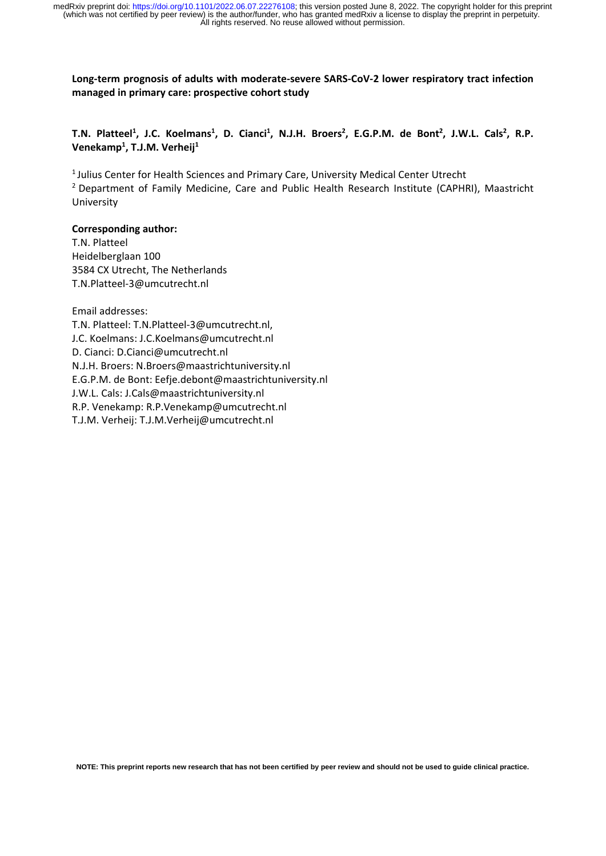Long-term prognosis of adults with moderate-severe SARS-CoV-2 lower respiratory tract infection **managed in primary care: prospective cohort study**

T.N. Platteel<sup>1</sup>, J.C. Koelmans<sup>1</sup>, D. Cianci<sup>1</sup>, N.J.H. Broers<sup>2</sup>, E.G.P.M. de Bont<sup>2</sup>, J.W.L. Cals<sup>2</sup>, R.P. **Venekamp1 , T.J.M. Verheij1**

<sup>1</sup> Julius Center for Health Sciences and Primary Care, University Medical Center Utrecht <sup>2</sup> Department of Family Medicine, Care and Public Health Research Institute (CAPHRI), Maastricht University

#### **Corresponding author:**

T.N. Platteel Heidelberglaan 100 3584 CX Utrecht, The Netherlands T.N.Platteel‐3@umcutrecht.nl

Email addresses: T.N. Platteel: T.N.Platteel‐3@umcutrecht.nl, J.C. Koelmans: J.C.Koelmans@umcutrecht.nl D. Cianci: D.Cianci@umcutrecht.nl N.J.H. Broers: N.Broers@maastrichtuniversity.nl E.G.P.M. de Bont: Eefje.debont@maastrichtuniversity.nl J.W.L. Cals: J.Cals@maastrichtuniversity.nl R.P. Venekamp: R.P.Venekamp@umcutrecht.nl T.J.M. Verheij: T.J.M.Verheij@umcutrecht.nl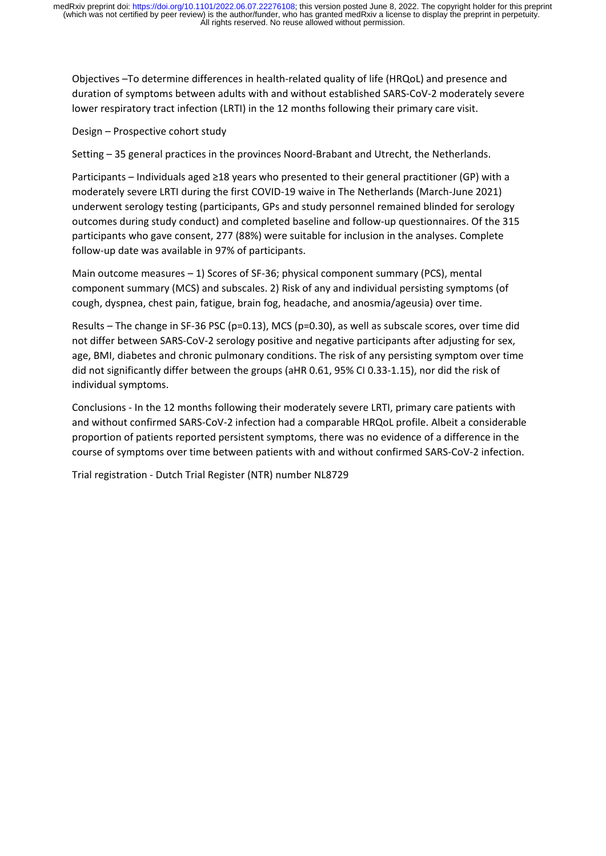Objectives –To determine differences in health‐related quality of life (HRQoL) and presence and duration of symptoms between adults with and without established SARS‐CoV‐2 moderately severe lower respiratory tract infection (LRTI) in the 12 months following their primary care visit.

Design – Prospective cohort study

Setting – 35 general practices in the provinces Noord-Brabant and Utrecht, the Netherlands.

Participants – Individuals aged ≥18 years who presented to their general practitioner (GP) with a moderately severe LRTI during the first COVID‐19 waive in The Netherlands (March‐June 2021) underwent serology testing (participants, GPs and study personnel remained blinded for serology outcomes during study conduct) and completed baseline and follow‐up questionnaires. Of the 315 participants who gave consent, 277 (88%) were suitable for inclusion in the analyses. Complete follow‐up date was available in 97% of participants.

Main outcome measures  $-1$ ) Scores of SF-36; physical component summary (PCS), mental component summary (MCS) and subscales. 2) Risk of any and individual persisting symptoms (of cough, dyspnea, chest pain, fatigue, brain fog, headache, and anosmia/ageusia) over time.

Results – The change in SF‐36 PSC (p=0.13), MCS (p=0.30), as well as subscale scores, over time did not differ between SARS‐CoV‐2 serology positive and negative participants after adjusting for sex, age, BMI, diabetes and chronic pulmonary conditions. The risk of any persisting symptom over time did not significantly differ between the groups (aHR 0.61, 95% CI 0.33‐1.15), nor did the risk of individual symptoms.

Conclusions ‐ In the 12 months following their moderately severe LRTI, primary care patients with and without confirmed SARS‐CoV‐2 infection had a comparable HRQoL profile. Albeit a considerable proportion of patients reported persistent symptoms, there was no evidence of a difference in the course of symptoms over time between patients with and without confirmed SARS‐CoV‐2 infection.

Trial registration ‐ Dutch Trial Register (NTR) number NL8729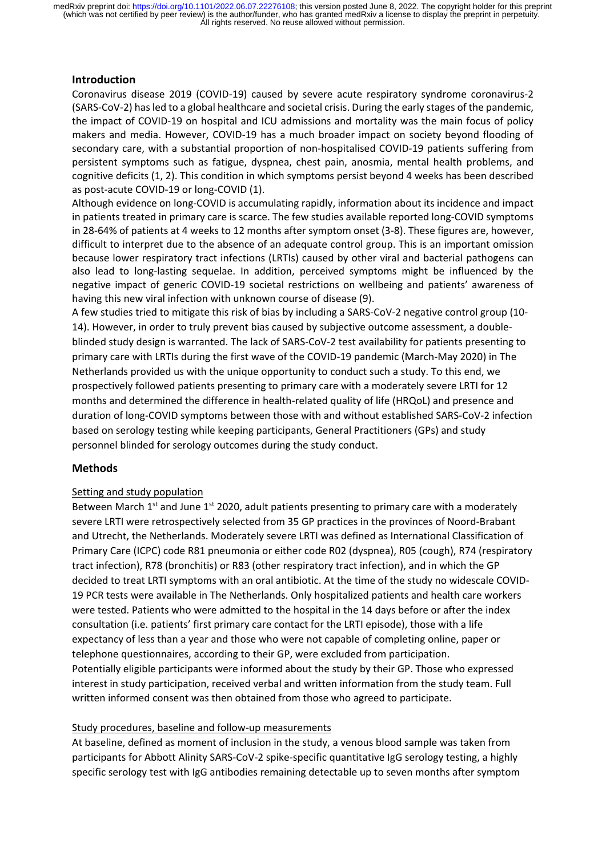# **Introduction**

Coronavirus disease 2019 (COVID‐19) caused by severe acute respiratory syndrome coronavirus‐2 (SARS‐CoV‐2) hasled to a global healthcare and societal crisis. During the early stages of the pandemic, the impact of COVID‐19 on hospital and ICU admissions and mortality was the main focus of policy makers and media. However, COVID‐19 has a much broader impact on society beyond flooding of secondary care, with a substantial proportion of non-hospitalised COVID-19 patients suffering from persistent symptoms such as fatigue, dyspnea, chest pain, anosmia, mental health problems, and cognitive deficits (1, 2). This condition in which symptoms persist beyond 4 weeks has been described as post‐acute COVID‐19 or long‐COVID (1).

Although evidence on long‐COVID is accumulating rapidly, information about its incidence and impact in patients treated in primary care is scarce. The few studies available reported long-COVID symptoms in 28‐64% of patients at 4 weeks to 12 months after symptom onset (3‐8). These figures are, however, difficult to interpret due to the absence of an adequate control group. This is an important omission because lower respiratory tract infections (LRTIs) caused by other viral and bacterial pathogens can also lead to long-lasting sequelae. In addition, perceived symptoms might be influenced by the negative impact of generic COVID‐19 societal restrictions on wellbeing and patients' awareness of having this new viral infection with unknown course of disease (9).

A few studies tried to mitigate this risk of bias by including a SARS‐CoV‐2 negative control group (10‐ 14). However, in order to truly prevent bias caused by subjective outcome assessment, a double‐ blinded study design is warranted. The lack of SARS‐CoV‐2 test availability for patients presenting to primary care with LRTIs during the first wave of the COVID‐19 pandemic (March‐May 2020) in The Netherlands provided us with the unique opportunity to conduct such a study. To this end, we prospectively followed patients presenting to primary care with a moderately severe LRTI for 12 months and determined the difference in health-related quality of life (HRQoL) and presence and duration of long‐COVID symptoms between those with and without established SARS‐CoV‐2 infection based on serology testing while keeping participants, General Practitioners (GPs) and study personnel blinded for serology outcomes during the study conduct.

# **Methods**

# Setting and study population

Between March  $1^{st}$  and June  $1^{st}$  2020, adult patients presenting to primary care with a moderately severe LRTI were retrospectively selected from 35 GP practices in the provinces of Noord-Brabant and Utrecht, the Netherlands. Moderately severe LRTI was defined as International Classification of Primary Care (ICPC) code R81 pneumonia or either code R02 (dyspnea), R05 (cough), R74 (respiratory tract infection), R78 (bronchitis) or R83 (other respiratory tract infection), and in which the GP decided to treat LRTI symptoms with an oral antibiotic. At the time of the study no widescale COVID‐ 19 PCR tests were available in The Netherlands. Only hospitalized patients and health care workers were tested. Patients who were admitted to the hospital in the 14 days before or after the index consultation (i.e. patients' first primary care contact for the LRTI episode), those with a life expectancy of less than a year and those who were not capable of completing online, paper or telephone questionnaires, according to their GP, were excluded from participation. Potentially eligible participants were informed about the study by their GP. Those who expressed interest in study participation, received verbal and written information from the study team. Full written informed consent was then obtained from those who agreed to participate.

# Study procedures, baseline and follow‐up measurements

At baseline, defined as moment of inclusion in the study, a venous blood sample was taken from participants for Abbott Alinity SARS‐CoV‐2 spike‐specific quantitative IgG serology testing, a highly specific serology test with IgG antibodies remaining detectable up to seven months after symptom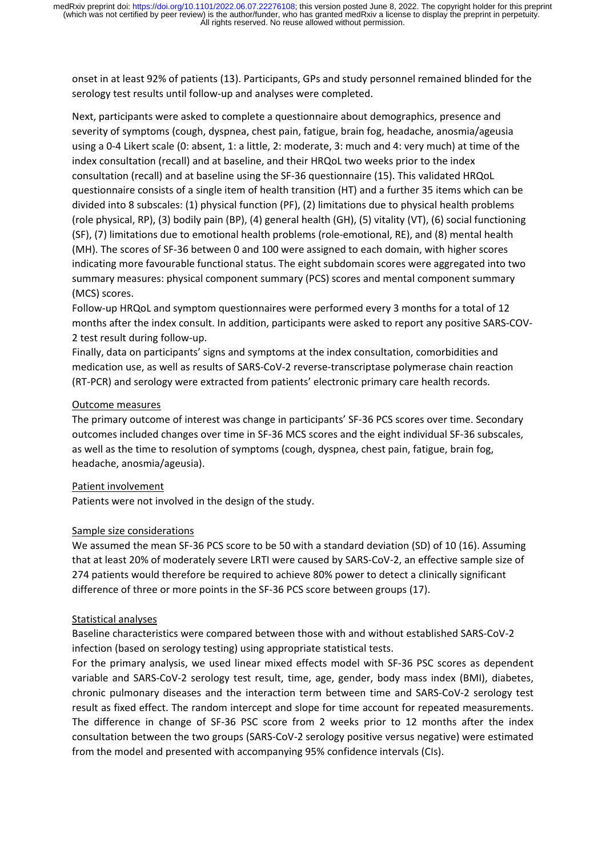onset in at least 92% of patients (13). Participants, GPs and study personnel remained blinded for the serology test results until follow-up and analyses were completed.

Next, participants were asked to complete a questionnaire about demographics, presence and severity of symptoms (cough, dyspnea, chest pain, fatigue, brain fog, headache, anosmia/ageusia using a 0‐4 Likert scale (0: absent, 1: a little, 2: moderate, 3: much and 4: very much) at time of the index consultation (recall) and at baseline, and their HRQoL two weeks prior to the index consultation (recall) and at baseline using the SF‐36 questionnaire (15). This validated HRQoL questionnaire consists of a single item of health transition (HT) and a further 35 items which can be divided into 8 subscales: (1) physical function (PF), (2) limitations due to physical health problems (role physical, RP), (3) bodily pain (BP), (4) general health (GH), (5) vitality (VT), (6) social functioning (SF), (7) limitations due to emotional health problems (role‐emotional, RE), and (8) mental health (MH). The scores of SF‐36 between 0 and 100 were assigned to each domain, with higher scores indicating more favourable functional status. The eight subdomain scores were aggregated into two summary measures: physical component summary (PCS) scores and mental component summary (MCS) scores.

Follow-up HRQoL and symptom questionnaires were performed every 3 months for a total of 12 months after the index consult. In addition, participants were asked to report any positive SARS‐COV‐ 2 test result during follow‐up.

Finally, data on participants' signs and symptoms at the index consultation, comorbidities and medication use, as well as results of SARS‐CoV‐2 reverse‐transcriptase polymerase chain reaction (RT‐PCR) and serology were extracted from patients' electronic primary care health records.

#### Outcome measures

The primary outcome of interest was change in participants' SF‐36 PCS scores over time. Secondary outcomes included changes over time in SF‐36 MCS scores and the eight individual SF‐36 subscales, as well as the time to resolution of symptoms (cough, dyspnea, chest pain, fatigue, brain fog, headache, anosmia/ageusia).

#### Patient involvement

Patients were not involved in the design of the study.

#### Sample size considerations

We assumed the mean SF-36 PCS score to be 50 with a standard deviation (SD) of 10 (16). Assuming that at least 20% of moderately severe LRTI were caused by SARS‐CoV‐2, an effective sample size of 274 patients would therefore be required to achieve 80% power to detect a clinically significant difference of three or more points in the SF‐36 PCS score between groups (17).

#### Statistical analyses

Baseline characteristics were compared between those with and without established SARS‐CoV‐2 infection (based on serology testing) using appropriate statistical tests.

For the primary analysis, we used linear mixed effects model with SF‐36 PSC scores as dependent variable and SARS‐CoV‐2 serology test result, time, age, gender, body mass index (BMI), diabetes, chronic pulmonary diseases and the interaction term between time and SARS‐CoV‐2 serology test result as fixed effect. The random intercept and slope for time account for repeated measurements. The difference in change of SF-36 PSC score from 2 weeks prior to 12 months after the index consultation between the two groups (SARS‐CoV‐2 serology positive versus negative) were estimated from the model and presented with accompanying 95% confidence intervals (CIs).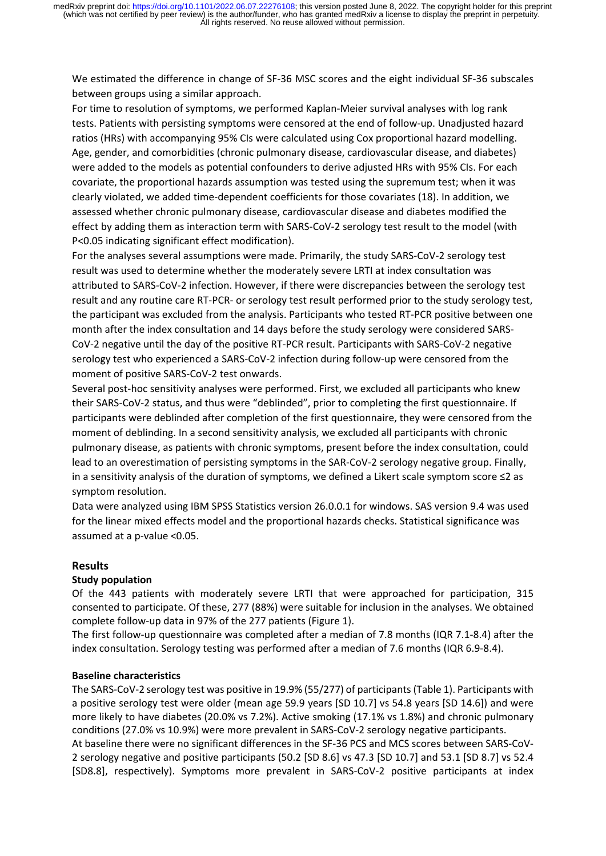We estimated the difference in change of SF‐36 MSC scores and the eight individual SF‐36 subscales between groups using a similar approach.

For time to resolution of symptoms, we performed Kaplan‐Meier survival analyses with log rank tests. Patients with persisting symptoms were censored at the end of follow‐up. Unadjusted hazard ratios (HRs) with accompanying 95% CIs were calculated using Cox proportional hazard modelling. Age, gender, and comorbidities (chronic pulmonary disease, cardiovascular disease, and diabetes) were added to the models as potential confounders to derive adjusted HRs with 95% CIs. For each covariate, the proportional hazards assumption was tested using the supremum test; when it was clearly violated, we added time‐dependent coefficients for those covariates (18). In addition, we assessed whether chronic pulmonary disease, cardiovascular disease and diabetes modified the effect by adding them as interaction term with SARS‐CoV‐2 serology test result to the model (with P<0.05 indicating significant effect modification).

For the analyses several assumptions were made. Primarily, the study SARS‐CoV‐2 serology test result was used to determine whether the moderately severe LRTI at index consultation was attributed to SARS‐CoV‐2 infection. However, if there were discrepancies between the serology test result and any routine care RT‐PCR‐ or serology test result performed prior to the study serology test, the participant was excluded from the analysis. Participants who tested RT‐PCR positive between one month after the index consultation and 14 days before the study serology were considered SARS‐ CoV-2 negative until the day of the positive RT-PCR result. Participants with SARS-CoV-2 negative serology test who experienced a SARS‐CoV‐2 infection during follow‐up were censored from the moment of positive SARS‐CoV‐2 test onwards.

Several post-hoc sensitivity analyses were performed. First, we excluded all participants who knew their SARS‐CoV‐2 status, and thus were "deblinded", prior to completing the first questionnaire. If participants were deblinded after completion of the first questionnaire, they were censored from the moment of deblinding. In a second sensitivity analysis, we excluded all participants with chronic pulmonary disease, as patients with chronic symptoms, present before the index consultation, could lead to an overestimation of persisting symptoms in the SAR-CoV-2 serology negative group. Finally, in a sensitivity analysis of the duration of symptoms, we defined a Likert scale symptom score ≤2 as symptom resolution.

Data were analyzed using IBM SPSS Statistics version 26.0.0.1 for windows. SAS version 9.4 was used for the linear mixed effects model and the proportional hazards checks. Statistical significance was assumed at a p‐value <0.05.

# **Results**

# **Study population**

Of the 443 patients with moderately severe LRTI that were approached for participation, 315 consented to participate. Of these, 277 (88%) were suitable for inclusion in the analyses. We obtained complete follow‐up data in 97% of the 277 patients (Figure 1).

The first follow‐up questionnaire was completed after a median of 7.8 months (IQR 7.1‐8.4) after the index consultation. Serology testing was performed after a median of 7.6 months (IQR 6.9‐8.4).

# **Baseline characteristics**

The SARS-CoV-2 serology test was positive in 19.9% (55/277) of participants (Table 1). Participants with a positive serology test were older (mean age 59.9 years [SD 10.7] vs 54.8 years [SD 14.6]) and were more likely to have diabetes (20.0% vs 7.2%). Active smoking (17.1% vs 1.8%) and chronic pulmonary conditions (27.0% vs 10.9%) were more prevalent in SARS‐CoV‐2 serology negative participants. At baseline there were no significant differences in the SF‐36 PCS and MCS scores between SARS‐CoV‐ 2 serology negative and positive participants (50.2 [SD 8.6] vs 47.3 [SD 10.7] and 53.1 [SD 8.7] vs 52.4 [SD8.8], respectively). Symptoms more prevalent in SARS‐CoV‐2 positive participants at index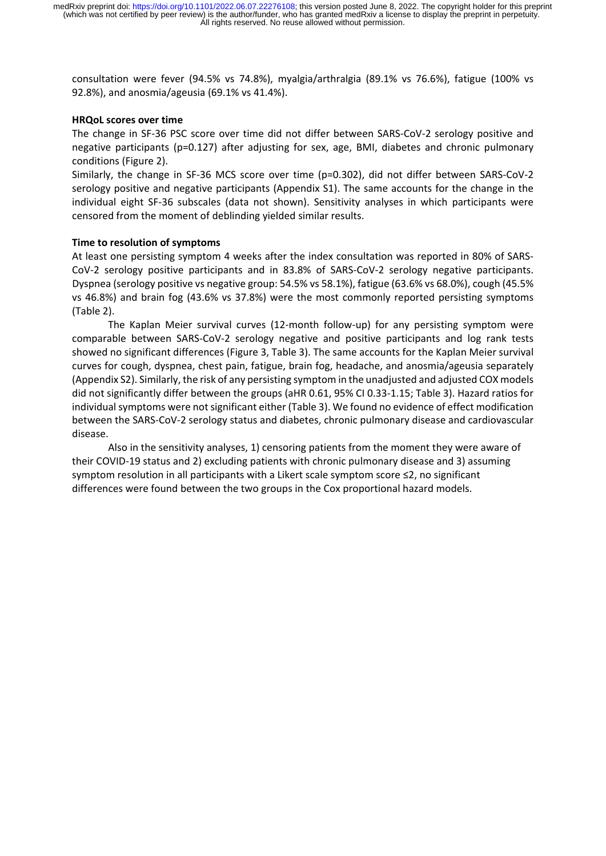consultation were fever (94.5% vs 74.8%), myalgia/arthralgia (89.1% vs 76.6%), fatigue (100% vs 92.8%), and anosmia/ageusia (69.1% vs 41.4%).

#### **HRQoL scores over time**

The change in SF‐36 PSC score over time did not differ between SARS‐CoV‐2 serology positive and negative participants (p=0.127) after adjusting for sex, age, BMI, diabetes and chronic pulmonary conditions (Figure 2).

Similarly, the change in SF‐36 MCS score over time (p=0.302), did not differ between SARS‐CoV‐2 serology positive and negative participants (Appendix S1). The same accounts for the change in the individual eight SF‐36 subscales (data not shown). Sensitivity analyses in which participants were censored from the moment of deblinding yielded similar results.

#### **Time to resolution of symptoms**

At least one persisting symptom 4 weeks after the index consultation was reported in 80% of SARS‐ CoV‐2 serology positive participants and in 83.8% of SARS‐CoV‐2 serology negative participants. Dyspnea (serology positive vs negative group: 54.5% vs 58.1%), fatigue (63.6% vs 68.0%), cough (45.5% vs 46.8%) and brain fog (43.6% vs 37.8%) were the most commonly reported persisting symptoms (Table 2).

The Kaplan Meier survival curves (12‐month follow‐up) for any persisting symptom were comparable between SARS‐CoV‐2 serology negative and positive participants and log rank tests showed no significant differences (Figure 3, Table 3). The same accounts for the Kaplan Meier survival curves for cough, dyspnea, chest pain, fatigue, brain fog, headache, and anosmia/ageusia separately (Appendix S2). Similarly, the risk of any persisting symptom in the unadjusted and adjusted COX models did not significantly differ between the groups (aHR 0.61, 95% CI 0.33‐1.15; Table 3). Hazard ratios for individual symptoms were not significant either (Table 3). We found no evidence of effect modification between the SARS‐CoV‐2 serology status and diabetes, chronic pulmonary disease and cardiovascular disease.

Also in the sensitivity analyses, 1) censoring patients from the moment they were aware of their COVID‐19 status and 2) excluding patients with chronic pulmonary disease and 3) assuming symptom resolution in all participants with a Likert scale symptom score ≤2, no significant differences were found between the two groups in the Cox proportional hazard models.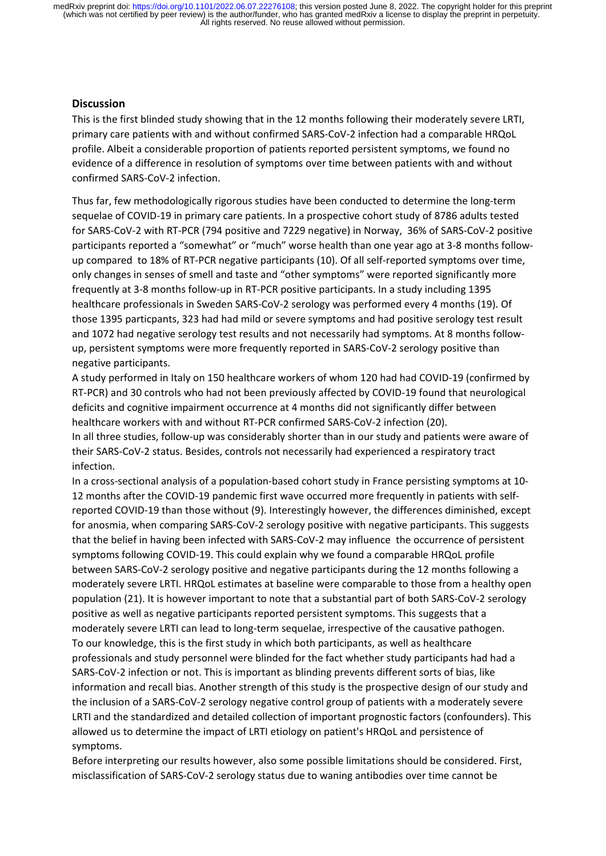#### **Discussion**

This is the first blinded study showing that in the 12 months following their moderately severe LRTI, primary care patients with and without confirmed SARS‐CoV‐2 infection had a comparable HRQoL profile. Albeit a considerable proportion of patients reported persistent symptoms, we found no evidence of a difference in resolution of symptoms over time between patients with and without confirmed SARS‐CoV‐2 infection.

Thus far, few methodologically rigorous studies have been conducted to determine the long‐term sequelae of COVID‐19 in primary care patients. In a prospective cohort study of 8786 adults tested for SARS‐CoV‐2 with RT‐PCR (794 positive and 7229 negative) in Norway, 36% of SARS‐CoV‐2 positive participants reported a "somewhat" or "much" worse health than one year ago at 3-8 months followup compared to 18% of RT‐PCR negative participants (10). Of all self‐reported symptoms over time, only changes in senses of smell and taste and "other symptoms" were reported significantly more frequently at 3‐8 months follow‐up in RT‐PCR positive participants. In a study including 1395 healthcare professionals in Sweden SARS‐CoV‐2 serology was performed every 4 months (19). Of those 1395 particpants, 323 had had mild or severe symptoms and had positive serology test result and 1072 had negative serology test results and not necessarily had symptoms. At 8 months followup, persistent symptoms were more frequently reported in SARS‐CoV‐2 serology positive than negative participants.

A study performed in Italy on 150 healthcare workers of whom 120 had had COVID‐19 (confirmed by RT‐PCR) and 30 controls who had not been previously affected by COVID‐19 found that neurological deficits and cognitive impairment occurrence at 4 months did not significantly differ between healthcare workers with and without RT‐PCR confirmed SARS‐CoV‐2 infection (20). In all three studies, follow‐up was considerably shorter than in our study and patients were aware of their SARS‐CoV‐2 status. Besides, controls not necessarily had experienced a respiratory tract infection.

In a cross-sectional analysis of a population-based cohort study in France persisting symptoms at 10-12 months after the COVID-19 pandemic first wave occurred more frequently in patients with selfreported COVID‐19 than those without (9). Interestingly however, the differences diminished, except for anosmia, when comparing SARS‐CoV‐2 serology positive with negative participants. This suggests that the belief in having been infected with SARS‐CoV‐2 may influence the occurrence of persistent symptoms following COVID-19. This could explain why we found a comparable HRQoL profile between SARS-CoV-2 serology positive and negative participants during the 12 months following a moderately severe LRTI. HRQoL estimates at baseline were comparable to those from a healthy open population (21). It is however important to note that a substantial part of both SARS‐CoV‐2 serology positive as well as negative participants reported persistent symptoms. This suggests that a moderately severe LRTI can lead to long-term sequelae, irrespective of the causative pathogen. To our knowledge, this is the first study in which both participants, as well as healthcare professionals and study personnel were blinded for the fact whether study participants had had a SARS-CoV-2 infection or not. This is important as blinding prevents different sorts of bias, like information and recall bias. Another strength of this study is the prospective design of our study and the inclusion of a SARS‐CoV‐2 serology negative control group of patients with a moderately severe LRTI and the standardized and detailed collection of important prognostic factors (confounders). This allowed us to determine the impact of LRTI etiology on patient's HRQoL and persistence of symptoms.

Before interpreting our results however, also some possible limitations should be considered. First, misclassification of SARS‐CoV‐2 serology status due to waning antibodies over time cannot be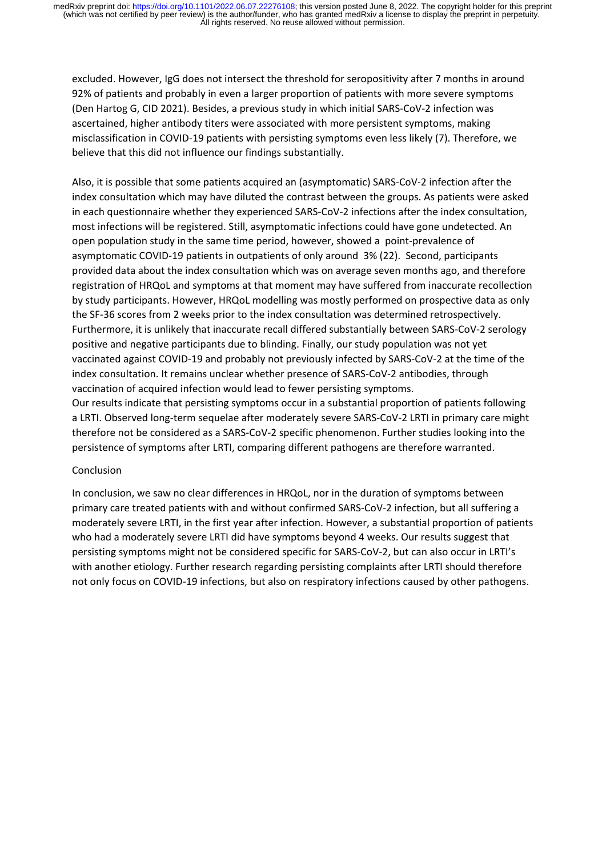excluded. However, IgG does not intersect the threshold for seropositivity after 7 months in around 92% of patients and probably in even a larger proportion of patients with more severe symptoms (Den Hartog G, CID 2021). Besides, a previous study in which initial SARS‐CoV‐2 infection was ascertained, higher antibody titers were associated with more persistent symptoms, making misclassification in COVID‐19 patients with persisting symptoms even less likely (7). Therefore, we believe that this did not influence our findings substantially.

Also, it is possible that some patients acquired an (asymptomatic) SARS‐CoV‐2 infection after the index consultation which may have diluted the contrast between the groups. As patients were asked in each questionnaire whether they experienced SARS‐CoV‐2 infections after the index consultation, most infections will be registered. Still, asymptomatic infections could have gone undetected. An open population study in the same time period, however, showed a point‐prevalence of asymptomatic COVID‐19 patients in outpatients of only around 3% (22). Second, participants provided data about the index consultation which was on average seven months ago, and therefore registration of HRQoL and symptoms at that moment may have suffered from inaccurate recollection by study participants. However, HRQoL modelling was mostly performed on prospective data as only the SF‐36 scores from 2 weeks prior to the index consultation was determined retrospectively. Furthermore, it is unlikely that inaccurate recall differed substantially between SARS‐CoV‐2 serology positive and negative participants due to blinding. Finally, our study population was not yet vaccinated against COVID‐19 and probably not previously infected by SARS‐CoV‐2 at the time of the index consultation. It remains unclear whether presence of SARS‐CoV‐2 antibodies, through vaccination of acquired infection would lead to fewer persisting symptoms.

Our results indicate that persisting symptoms occur in a substantial proportion of patients following a LRTI. Observed long‐term sequelae after moderately severe SARS‐CoV‐2 LRTI in primary care might therefore not be considered as a SARS‐CoV‐2 specific phenomenon. Further studies looking into the persistence of symptoms after LRTI, comparing different pathogens are therefore warranted.

# Conclusion

In conclusion, we saw no clear differences in HRQoL, nor in the duration of symptoms between primary care treated patients with and without confirmed SARS‐CoV‐2 infection, but all suffering a moderately severe LRTI, in the first year after infection. However, a substantial proportion of patients who had a moderately severe LRTI did have symptoms beyond 4 weeks. Our results suggest that persisting symptoms might not be considered specific for SARS‐CoV‐2, but can also occur in LRTI's with another etiology. Further research regarding persisting complaints after LRTI should therefore not only focus on COVID‐19 infections, but also on respiratory infections caused by other pathogens.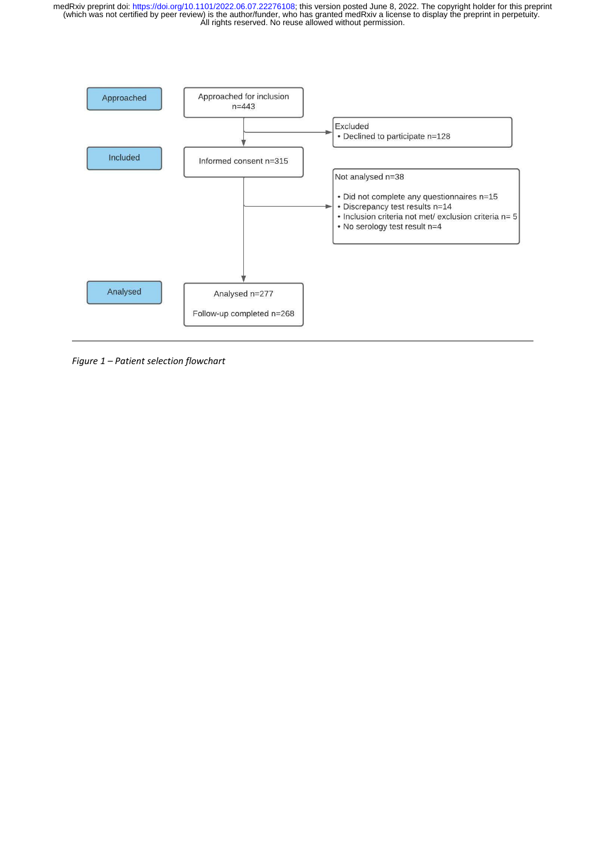

*Figure 1 – Patient selection flowchart*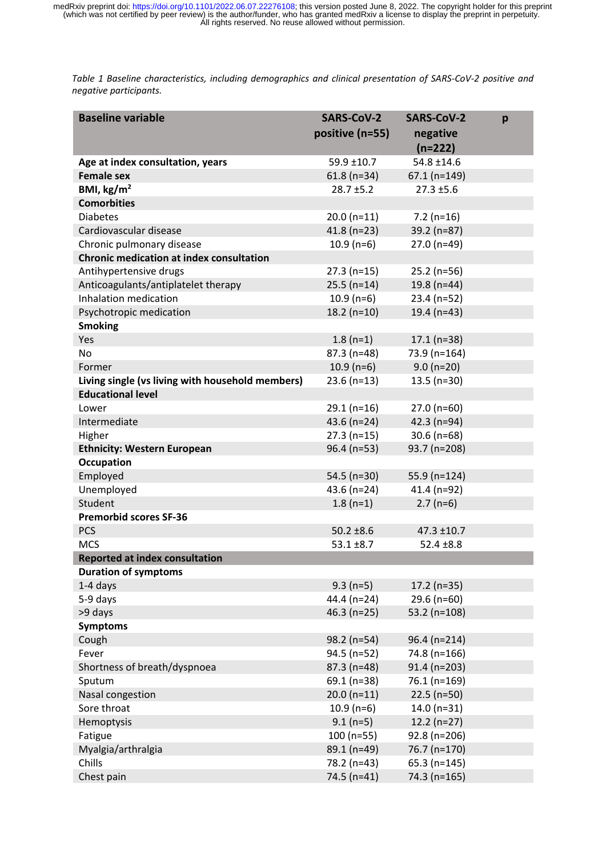Table 1 Baseline characteristics, including demographics and clinical presentation of SARS-CoV-2 positive and *negative participants.*

| <b>Baseline variable</b>                         | <b>SARS-CoV-2</b><br>positive (n=55) | <b>SARS-CoV-2</b><br>negative | p |
|--------------------------------------------------|--------------------------------------|-------------------------------|---|
|                                                  |                                      | $(n=222)$                     |   |
| Age at index consultation, years                 | $59.9 \pm 10.7$                      | $54.8 \pm 14.6$               |   |
| <b>Female sex</b>                                | $61.8$ (n=34)                        | $67.1$ (n=149)                |   |
| BMI, $\text{kg/m}^2$                             | $28.7 \pm 5.2$                       | $27.3 \pm 5.6$                |   |
| <b>Comorbities</b>                               |                                      |                               |   |
| <b>Diabetes</b>                                  | $20.0(n=11)$                         | $7.2$ (n=16)                  |   |
| Cardiovascular disease                           | $41.8(n=23)$                         | 39.2 (n=87)                   |   |
| Chronic pulmonary disease                        | $10.9(n=6)$                          | 27.0 (n=49)                   |   |
| <b>Chronic medication at index consultation</b>  |                                      |                               |   |
| Antihypertensive drugs                           | $27.3(n=15)$                         | $25.2$ (n=56)                 |   |
| Anticoagulants/antiplatelet therapy              | $25.5(n=14)$                         | 19.8 (n=44)                   |   |
| Inhalation medication                            | $10.9(n=6)$                          | 23.4 (n=52)                   |   |
| Psychotropic medication                          | $18.2(n=10)$                         | 19.4 ( $n=43$ )               |   |
| <b>Smoking</b>                                   |                                      |                               |   |
| Yes                                              | $1.8(n=1)$                           | $17.1(n=38)$                  |   |
| <b>No</b>                                        | $87.3(n=48)$                         | 73.9 (n=164)                  |   |
| Former                                           |                                      |                               |   |
|                                                  | $10.9(n=6)$                          | $9.0 (n=20)$                  |   |
| Living single (vs living with household members) | $23.6$ (n=13)                        | $13.5$ (n=30)                 |   |
| <b>Educational level</b>                         |                                      |                               |   |
| Lower                                            | $29.1(n=16)$                         | $27.0(n=60)$                  |   |
| Intermediate                                     | 43.6 ( $n=24$ )                      | 42.3 (n=94)                   |   |
| Higher                                           | $27.3(n=15)$                         | $30.6$ (n=68)                 |   |
| <b>Ethnicity: Western European</b>               | $96.4$ (n=53)                        | 93.7 (n=208)                  |   |
| <b>Occupation</b>                                |                                      |                               |   |
| Employed                                         | 54.5 ( $n=30$ )                      | 55.9 (n=124)                  |   |
| Unemployed                                       | 43.6 ( $n=24$ )                      | 41.4 (n=92)                   |   |
| Student                                          | $1.8(n=1)$                           | $2.7(n=6)$                    |   |
| <b>Premorbid scores SF-36</b>                    |                                      |                               |   |
| <b>PCS</b>                                       | $50.2 \pm 8.6$                       | $47.3 \pm 10.7$               |   |
| <b>MCS</b>                                       | $53.1 \pm 8.7$                       | $52.4 \pm 8.8$                |   |
| <b>Reported at index consultation</b>            |                                      |                               |   |
| <b>Duration of symptoms</b>                      |                                      |                               |   |
| 1-4 days                                         | $9.3(n=5)$                           | $17.2$ (n=35)                 |   |
| 5-9 days                                         | 44.4 (n=24)                          | $29.6$ (n=60)                 |   |
| >9 days                                          | $46.3$ (n=25)                        | 53.2 ( $n=108$ )              |   |
| <b>Symptoms</b>                                  |                                      |                               |   |
| Cough                                            | 98.2 (n=54)                          | 96.4 (n=214)                  |   |
| Fever                                            | $94.5$ (n=52)                        | 74.8 (n=166)                  |   |
| Shortness of breath/dyspnoea                     | $87.3(n=48)$                         | $91.4$ (n=203)                |   |
| Sputum                                           | 69.1 (n=38)                          | 76.1 (n=169)                  |   |
| Nasal congestion                                 | $20.0(n=11)$                         | $22.5$ (n=50)                 |   |
| Sore throat                                      | $10.9(n=6)$                          | $14.0(n=31)$                  |   |
| Hemoptysis                                       | $9.1(n=5)$                           | $12.2(n=27)$                  |   |
| Fatigue                                          | $100(n=55)$                          | 92.8 (n=206)                  |   |
| Myalgia/arthralgia                               | 89.1 (n=49)                          | 76.7 (n=170)                  |   |
| Chills                                           | 78.2 (n=43)                          | $65.3$ (n=145)                |   |
| Chest pain                                       | 74.5 (n=41)                          | 74.3 (n=165)                  |   |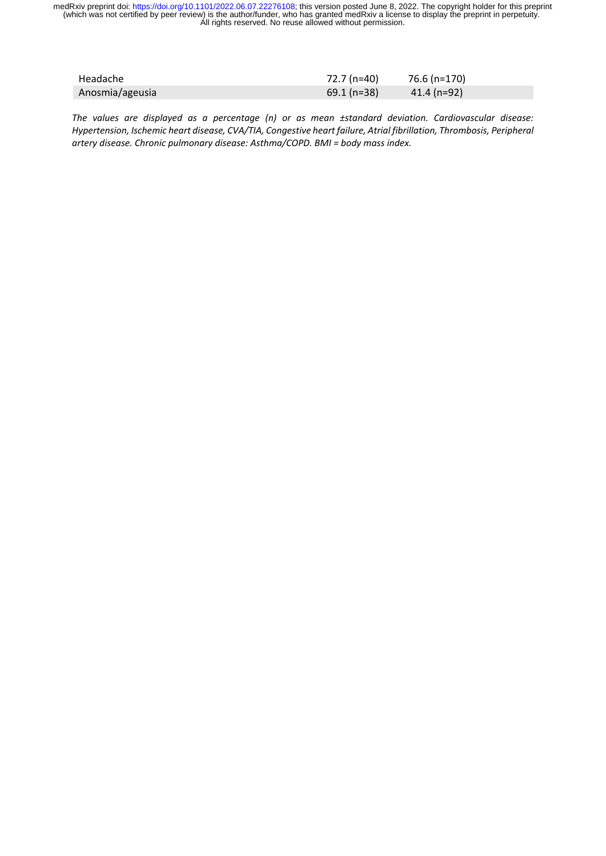| Headache        | 72.7 (n=40)  | 76.6 (n=170) |
|-----------------|--------------|--------------|
| Anosmia/ageusia | $69.1(n=38)$ | 41.4 (n=92)  |

*The values are displayed as a percentage (n) or as mean ±standard deviation. Cardiovascular disease: Hypertension, Ischemic heart disease, CVA/TIA, Congestive heart failure, Atrial fibrillation, Thrombosis, Peripheral artery disease. Chronic pulmonary disease: Asthma/COPD. BMI = body mass index.*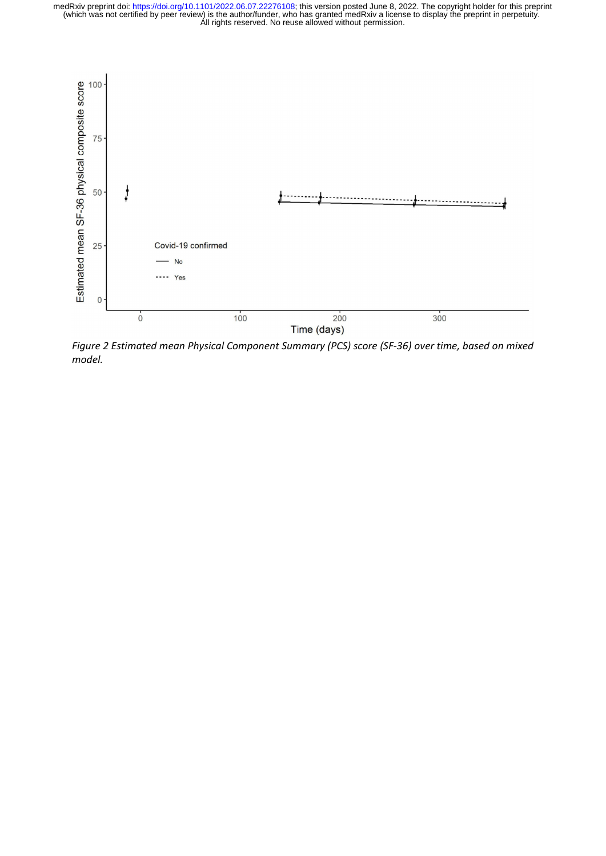

*Figure 2 Estimated mean Physical Component Summary (PCS) score (SF‐36) over time, based on mixed model.*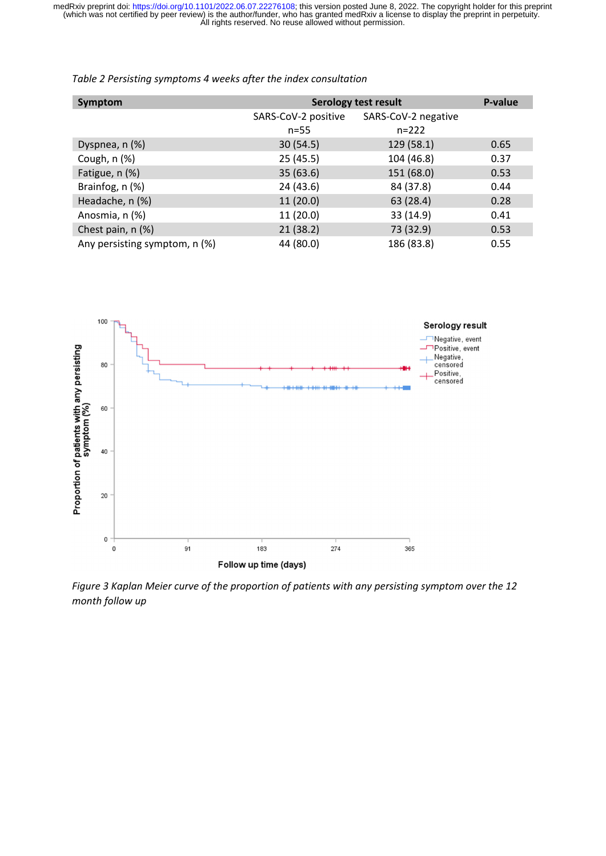| Symptom                       | <b>Serology test result</b> | P-value             |      |
|-------------------------------|-----------------------------|---------------------|------|
|                               | SARS-CoV-2 positive         | SARS-CoV-2 negative |      |
|                               | $n = 55$                    | $n = 222$           |      |
| Dyspnea, n (%)                | 30(54.5)                    | 129 (58.1)          | 0.65 |
| Cough, $n$ $(\%)$             | 25(45.5)                    | 104 (46.8)          | 0.37 |
| Fatigue, n (%)                | 35(63.6)                    | 151 (68.0)          | 0.53 |
| Brainfog, n (%)               | 24 (43.6)                   | 84 (37.8)           | 0.44 |
| Headache, n (%)               | 11(20.0)                    | 63 (28.4)           | 0.28 |
| Anosmia, n (%)                | 11(20.0)                    | 33 (14.9)           | 0.41 |
| Chest pain, n (%)             | 21(38.2)                    | 73 (32.9)           | 0.53 |
| Any persisting symptom, n (%) | 44 (80.0)                   | 186 (83.8)          | 0.55 |

*Table 2 Persisting symptoms 4 weeks after the index consultation*



*Figure 3 Kaplan Meier curve of the proportion of patients with any persisting symptom over the 12 month follow up*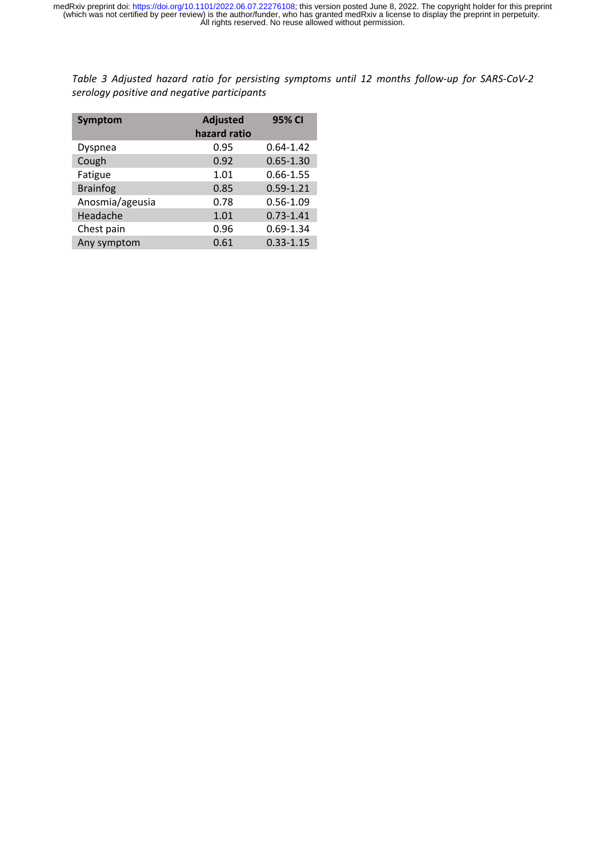Table 3 Adjusted hazard ratio for persisting symptoms until 12 months follow-up for SARS-CoV-2 *serology positive and negative participants*

| Symptom         | <b>Adjusted</b><br>hazard ratio | 95% CI        |
|-----------------|---------------------------------|---------------|
| Dyspnea         | 0.95                            | $0.64 - 1.42$ |
| Cough           | 0.92                            | $0.65 - 1.30$ |
| Fatigue         | 1.01                            | $0.66 - 1.55$ |
| <b>Brainfog</b> | 0.85                            | $0.59 - 1.21$ |
| Anosmia/ageusia | 0.78                            | $0.56 - 1.09$ |
| Headache        | 1.01                            | $0.73 - 1.41$ |
| Chest pain      | 0.96                            | $0.69 - 1.34$ |
| Any symptom     | 0.61                            | $0.33 - 1.15$ |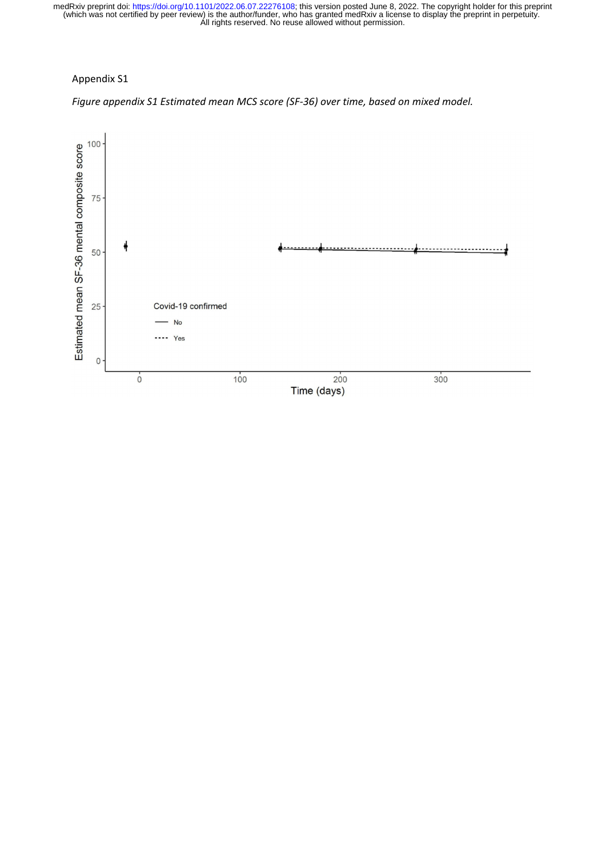# Appendix S1

*Figure appendix S1 Estimated mean MCS score (SF‐36) over time, based on mixed model.*

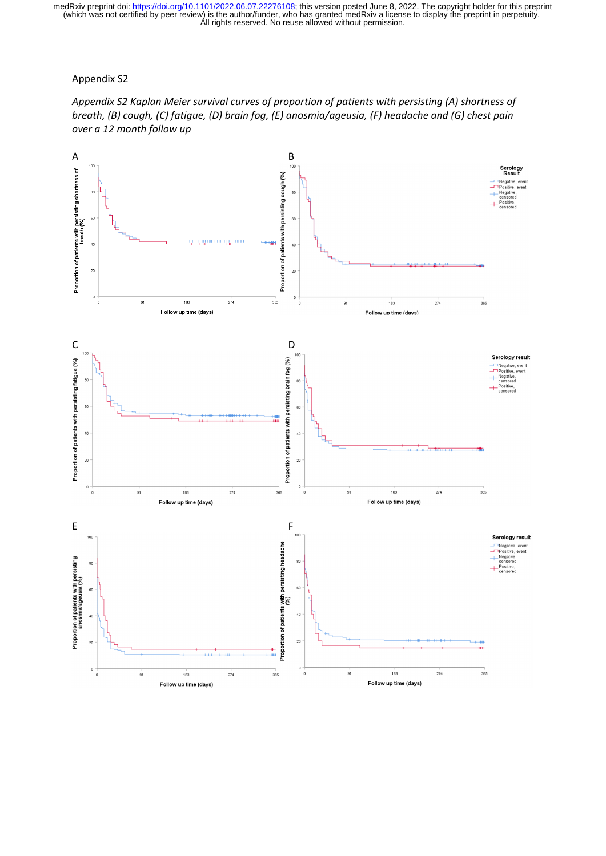Appendix S2



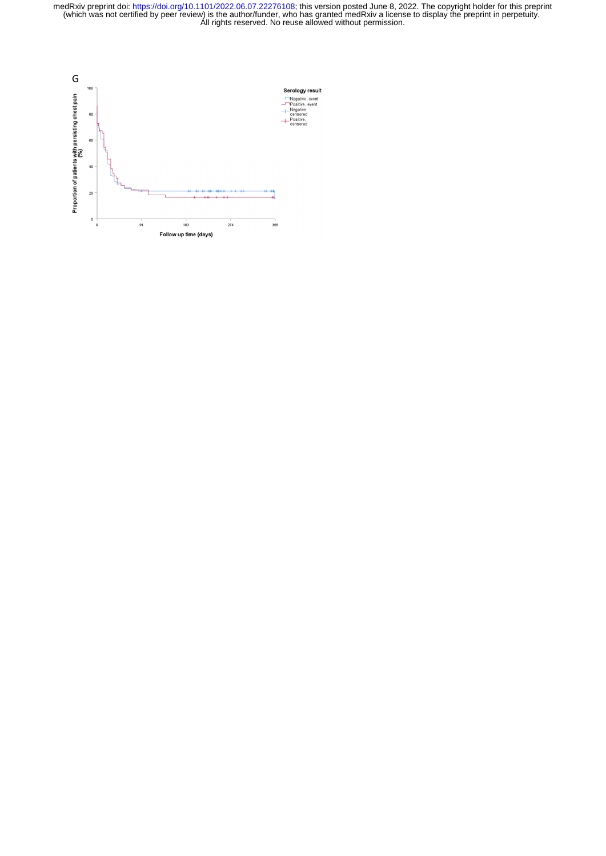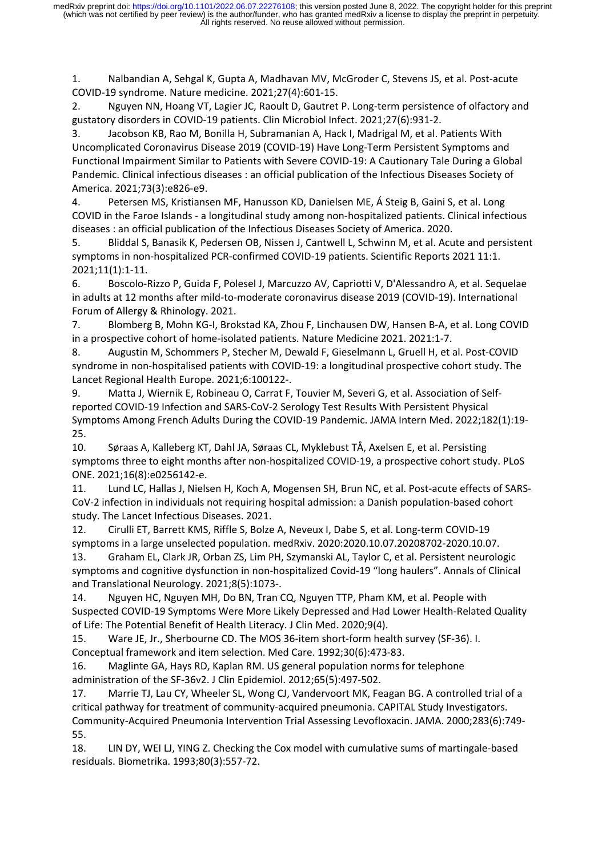1. Nalbandian A, Sehgal K, Gupta A, Madhavan MV, McGroder C, Stevens JS, et al. Post‐acute COVID‐19 syndrome. Nature medicine. 2021;27(4):601‐15.

2. Nguyen NN, Hoang VT, Lagier JC, Raoult D, Gautret P. Long-term persistence of olfactory and gustatory disorders in COVID‐19 patients. Clin Microbiol Infect. 2021;27(6):931‐2.

3. Jacobson KB, Rao M, Bonilla H, Subramanian A, Hack I, Madrigal M, et al. Patients With Uncomplicated Coronavirus Disease 2019 (COVID‐19) Have Long‐Term Persistent Symptoms and Functional Impairment Similar to Patients with Severe COVID‐19: A Cautionary Tale During a Global Pandemic. Clinical infectious diseases : an official publication of the Infectious Diseases Society of America. 2021;73(3):e826‐e9.

4. Petersen MS, Kristiansen MF, Hanusson KD, Danielsen ME, Á Steig B, Gaini S, et al. Long COVID in the Faroe Islands ‐ a longitudinal study among non‐hospitalized patients. Clinical infectious diseases : an official publication of the Infectious Diseases Society of America. 2020.

5. Bliddal S, Banasik K, Pedersen OB, Nissen J, Cantwell L, Schwinn M, et al. Acute and persistent symptoms in non-hospitalized PCR-confirmed COVID-19 patients. Scientific Reports 2021 11:1. 2021;11(1):1‐11.

6. Boscolo‐Rizzo P, Guida F, Polesel J, Marcuzzo AV, Capriotti V, D'Alessandro A, et al. Sequelae in adults at 12 months after mild‐to‐moderate coronavirus disease 2019 (COVID‐19). International Forum of Allergy & Rhinology. 2021.

7. Blomberg B, Mohn KG‐I, Brokstad KA, Zhou F, Linchausen DW, Hansen B‐A, et al. Long COVID in a prospective cohort of home‐isolated patients. Nature Medicine 2021. 2021:1‐7.

8. Augustin M, Schommers P, Stecher M, Dewald F, Gieselmann L, Gruell H, et al. Post-COVID syndrome in non-hospitalised patients with COVID-19: a longitudinal prospective cohort study. The Lancet Regional Health Europe. 2021;6:100122‐.

9. Matta J, Wiernik E, Robineau O, Carrat F, Touvier M, Severi G, et al. Association of Self‐ reported COVID‐19 Infection and SARS‐CoV‐2 Serology Test Results With Persistent Physical Symptoms Among French Adults During the COVID‐19 Pandemic. JAMA Intern Med. 2022;182(1):19‐ 25.

10. Søraas A, Kalleberg KT, Dahl JA, Søraas CL, Myklebust TÅ, Axelsen E, et al. Persisting symptoms three to eight months after non-hospitalized COVID-19, a prospective cohort study. PLoS ONE. 2021;16(8):e0256142‐e.

11. Lund LC, Hallas J, Nielsen H, Koch A, Mogensen SH, Brun NC, et al. Post-acute effects of SARS-CoV-2 infection in individuals not requiring hospital admission: a Danish population-based cohort study. The Lancet Infectious Diseases. 2021.

12. Cirulli ET, Barrett KMS, Riffle S, Bolze A, Neveux I, Dabe S, et al. Long-term COVID-19 symptoms in a large unselected population. medRxiv. 2020:2020.10.07.20208702‐2020.10.07.

13. Graham EL, Clark JR, Orban ZS, Lim PH, Szymanski AL, Taylor C, et al. Persistent neurologic symptoms and cognitive dysfunction in non-hospitalized Covid-19 "long haulers". Annals of Clinical and Translational Neurology. 2021;8(5):1073‐.

14. Nguyen HC, Nguyen MH, Do BN, Tran CQ, Nguyen TTP, Pham KM, et al. People with Suspected COVID‐19 Symptoms Were More Likely Depressed and Had Lower Health‐Related Quality of Life: The Potential Benefit of Health Literacy. J Clin Med. 2020;9(4).

15. Ware JE, Jr., Sherbourne CD. The MOS 36-item short-form health survey (SF-36). I. Conceptual framework and item selection. Med Care. 1992;30(6):473‐83.

16. Maglinte GA, Hays RD, Kaplan RM. US general population norms for telephone administration of the SF‐36v2. J Clin Epidemiol. 2012;65(5):497‐502.

17. Marrie TJ, Lau CY, Wheeler SL, Wong CJ, Vandervoort MK, Feagan BG. A controlled trial of a critical pathway for treatment of community‐acquired pneumonia. CAPITAL Study Investigators. Community‐Acquired Pneumonia Intervention Trial Assessing Levofloxacin. JAMA. 2000;283(6):749‐ 55.

18. LIN DY, WEI LJ, YING Z. Checking the Cox model with cumulative sums of martingale‐based residuals. Biometrika. 1993;80(3):557‐72.